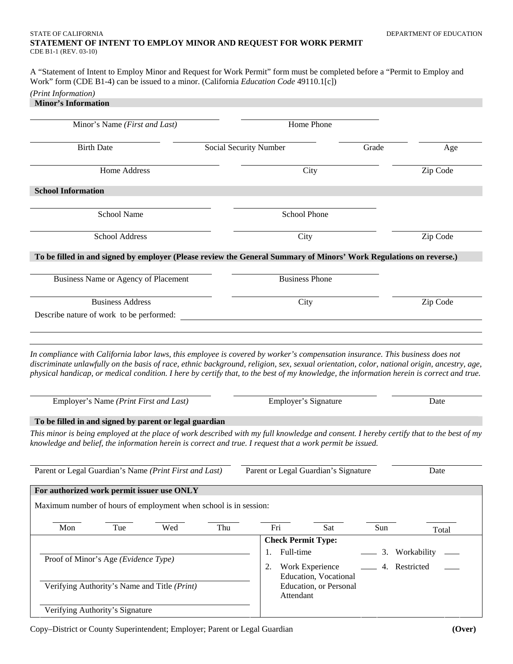### STATE OF CALIFORNIA DEPARTMENT OF EDUCATION DEPARTMENT OF EDUCATION **STATEMENT OF INTENT TO EMPLOY MINOR AND REQUEST FOR WORK PERMIT**  CDE B1-1 (REV. 03-10)

A "Statement of Intent to Employ Minor and Request for Work Permit" form must be completed before a "Permit to Employ and Work" form (CDE B1-4) can be issued to a minor. (California *Education Code* 49110.1[c])

# *(Print Information)*

| Minor's Information |  |
|---------------------|--|
|---------------------|--|

| Minor's Name (First and Last)                                                                                                                                                                                                                                                                                                                                                                                            |            | Home Phone                                                           |                |                |  |
|--------------------------------------------------------------------------------------------------------------------------------------------------------------------------------------------------------------------------------------------------------------------------------------------------------------------------------------------------------------------------------------------------------------------------|------------|----------------------------------------------------------------------|----------------|----------------|--|
| <b>Birth Date</b><br>Social Security Number                                                                                                                                                                                                                                                                                                                                                                              |            | Grade                                                                |                | Age            |  |
| Home Address                                                                                                                                                                                                                                                                                                                                                                                                             |            | City                                                                 |                | Zip Code       |  |
| <b>School Information</b>                                                                                                                                                                                                                                                                                                                                                                                                |            |                                                                      |                |                |  |
| <b>School Name</b>                                                                                                                                                                                                                                                                                                                                                                                                       |            | <b>School Phone</b>                                                  |                |                |  |
| School Address                                                                                                                                                                                                                                                                                                                                                                                                           |            | City                                                                 |                | Zip Code       |  |
| To be filled in and signed by employer (Please review the General Summary of Minors' Work Regulations on reverse.)                                                                                                                                                                                                                                                                                                       |            |                                                                      |                |                |  |
| Business Name or Agency of Placement                                                                                                                                                                                                                                                                                                                                                                                     |            | <b>Business Phone</b>                                                |                |                |  |
| <b>Business Address</b><br>Describe nature of work to be performed:                                                                                                                                                                                                                                                                                                                                                      |            | City                                                                 |                | Zip Code       |  |
| In compliance with California labor laws, this employee is covered by worker's compensation insurance. This business does not<br>discriminate unlawfully on the basis of race, ethnic background, religion, sex, sexual orientation, color, national origin, ancestry, age,<br>physical handicap, or medical condition. I here by certify that, to the best of my knowledge, the information herein is correct and true. |            |                                                                      |                |                |  |
| Employer's Name (Print First and Last)                                                                                                                                                                                                                                                                                                                                                                                   |            | Employer's Signature                                                 |                | Date           |  |
| To be filled in and signed by parent or legal guardian                                                                                                                                                                                                                                                                                                                                                                   |            |                                                                      |                |                |  |
| This minor is being employed at the place of work described with my full knowledge and consent. I hereby certify that to the best of my<br>knowledge and belief, the information herein is correct and true. I request that a work permit be issued.                                                                                                                                                                     |            |                                                                      |                |                |  |
| Parent or Legal Guardian's Name (Print First and Last)                                                                                                                                                                                                                                                                                                                                                                   |            | Parent or Legal Guardian's Signature                                 |                | Date           |  |
| For authorized work permit issuer use ONLY                                                                                                                                                                                                                                                                                                                                                                               |            |                                                                      |                |                |  |
| Maximum number of hours of employment when school is in session:                                                                                                                                                                                                                                                                                                                                                         |            |                                                                      |                |                |  |
| Wed<br>Mon<br>Tue                                                                                                                                                                                                                                                                                                                                                                                                        | Fri<br>Thu | Sat                                                                  | Sun            | Total          |  |
|                                                                                                                                                                                                                                                                                                                                                                                                                          |            | <b>Check Permit Type:</b>                                            |                |                |  |
| Proof of Minor's Age (Evidence Type)                                                                                                                                                                                                                                                                                                                                                                                     | 1.<br>2.   | Full-time<br>Work Experience                                         | -4. Restricted | 3. Workability |  |
| Verifying Authority's Name and Title (Print)                                                                                                                                                                                                                                                                                                                                                                             |            | <b>Education</b> , Vocational<br>Education, or Personal<br>Attendant |                |                |  |
| Verifying Authority's Signature                                                                                                                                                                                                                                                                                                                                                                                          |            |                                                                      |                |                |  |

Copy–District or County Superintendent; Employer; Parent or Legal Guardian **(Over)**